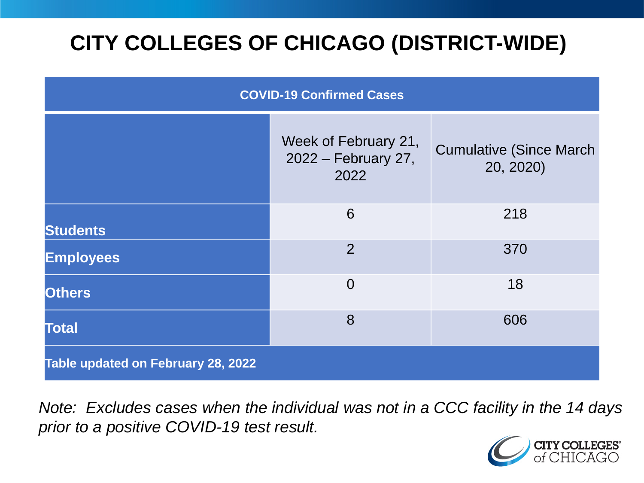# **CITY COLLEGES OF CHICAGO (DISTRICT-WIDE)**

| <b>COVID-19 Confirmed Cases</b>    |                                                     |                                              |
|------------------------------------|-----------------------------------------------------|----------------------------------------------|
|                                    | Week of February 21,<br>2022 – February 27,<br>2022 | <b>Cumulative (Since March)</b><br>20, 2020) |
| <b>Students</b>                    | 6                                                   | 218                                          |
| <b>Employees</b>                   | $\overline{2}$                                      | 370                                          |
| <b>Others</b>                      | $\overline{0}$                                      | 18                                           |
| <b>Total</b>                       | 8                                                   | 606                                          |
| Table updated on February 28, 2022 |                                                     |                                              |

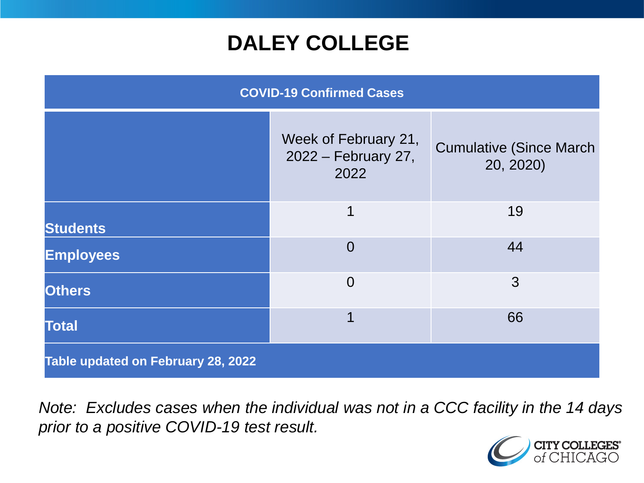## **DALEY COLLEGE**

| <b>COVID-19 Confirmed Cases</b>    |                                                     |                                              |
|------------------------------------|-----------------------------------------------------|----------------------------------------------|
|                                    | Week of February 21,<br>2022 – February 27,<br>2022 | <b>Cumulative (Since March)</b><br>20, 2020) |
| <b>Students</b>                    | 1                                                   | 19                                           |
| <b>Employees</b>                   | $\overline{0}$                                      | 44                                           |
| <b>Others</b>                      | $\overline{0}$                                      | 3                                            |
| <b>Total</b>                       | 1                                                   | 66                                           |
| Table updated on February 28, 2022 |                                                     |                                              |

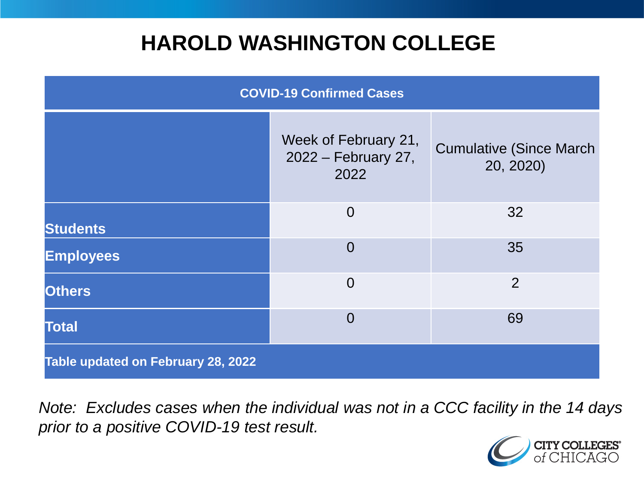## **HAROLD WASHINGTON COLLEGE**

| <b>COVID-19 Confirmed Cases</b>    |                                                     |                                              |
|------------------------------------|-----------------------------------------------------|----------------------------------------------|
|                                    | Week of February 21,<br>2022 – February 27,<br>2022 | <b>Cumulative (Since March)</b><br>20, 2020) |
| <b>Students</b>                    | $\overline{0}$                                      | 32                                           |
| <b>Employees</b>                   | $\Omega$                                            | 35                                           |
| <b>Others</b>                      | $\overline{0}$                                      | 2                                            |
| <b>Total</b>                       | $\Omega$                                            | 69                                           |
| Table updated on February 28, 2022 |                                                     |                                              |

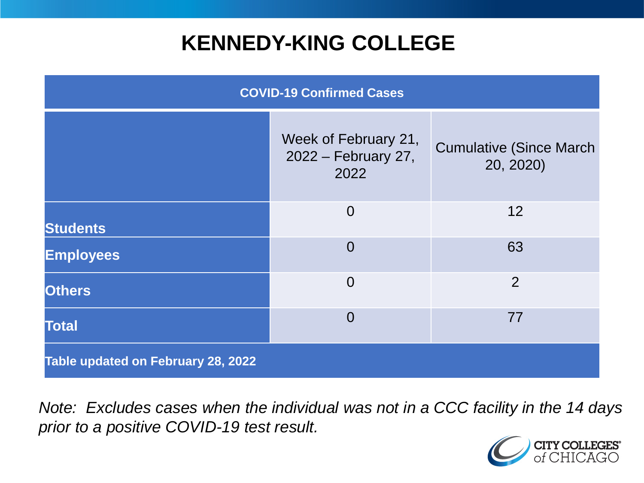## **KENNEDY-KING COLLEGE**

| <b>COVID-19 Confirmed Cases</b>    |                                                     |                                              |
|------------------------------------|-----------------------------------------------------|----------------------------------------------|
|                                    | Week of February 21,<br>2022 – February 27,<br>2022 | <b>Cumulative (Since March)</b><br>20, 2020) |
| <b>Students</b>                    | $\overline{0}$                                      | 12                                           |
| <b>Employees</b>                   | $\overline{0}$                                      | 63                                           |
| <b>Others</b>                      | $\overline{0}$                                      | 2                                            |
| <b>Total</b>                       | $\overline{0}$                                      | 77                                           |
| Table updated on February 28, 2022 |                                                     |                                              |

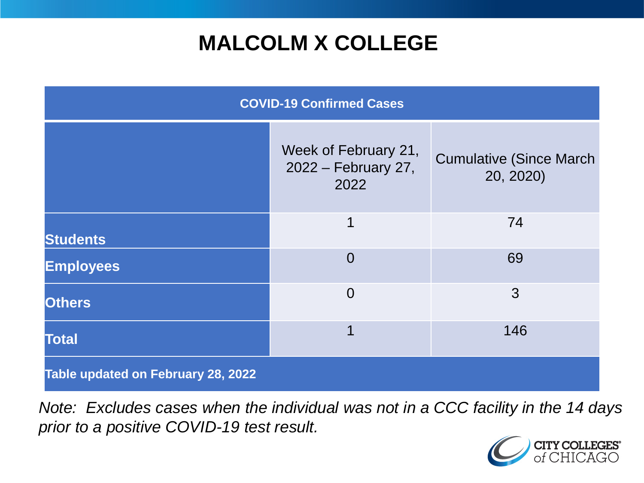# **MALCOLM X COLLEGE**

| <b>COVID-19 Confirmed Cases</b>    |                                                     |                                              |
|------------------------------------|-----------------------------------------------------|----------------------------------------------|
|                                    | Week of February 21,<br>2022 – February 27,<br>2022 | <b>Cumulative (Since March)</b><br>20, 2020) |
| <b>Students</b>                    | 1                                                   | 74                                           |
| <b>Employees</b>                   | $\Omega$                                            | 69                                           |
| <b>Others</b>                      | $\overline{0}$                                      | 3                                            |
| <b>Total</b>                       | 1                                                   | 146                                          |
| Table updated on February 28, 2022 |                                                     |                                              |

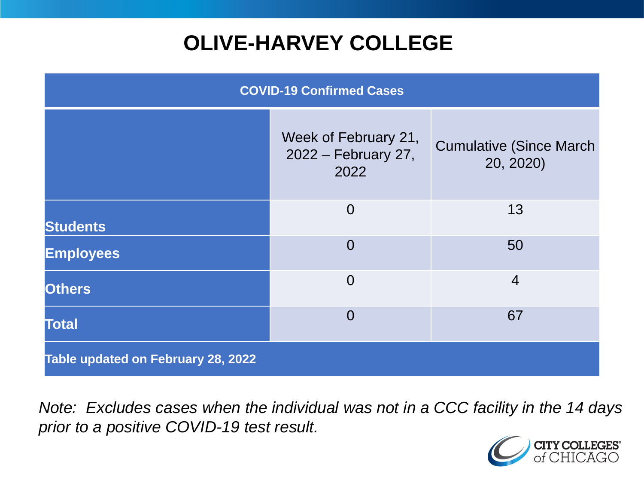# **OLIVE-HARVEY COLLEGE**

| <b>COVID-19 Confirmed Cases</b>    |                                                     |                                              |
|------------------------------------|-----------------------------------------------------|----------------------------------------------|
|                                    | Week of February 21,<br>2022 – February 27,<br>2022 | <b>Cumulative (Since March)</b><br>20, 2020) |
| <b>Students</b>                    | $\overline{0}$                                      | 13                                           |
| <b>Employees</b>                   | $\Omega$                                            | 50                                           |
| <b>Others</b>                      | $\overline{0}$                                      | $\overline{4}$                               |
| <b>Total</b>                       | $\Omega$                                            | 67                                           |
| Table updated on February 28, 2022 |                                                     |                                              |

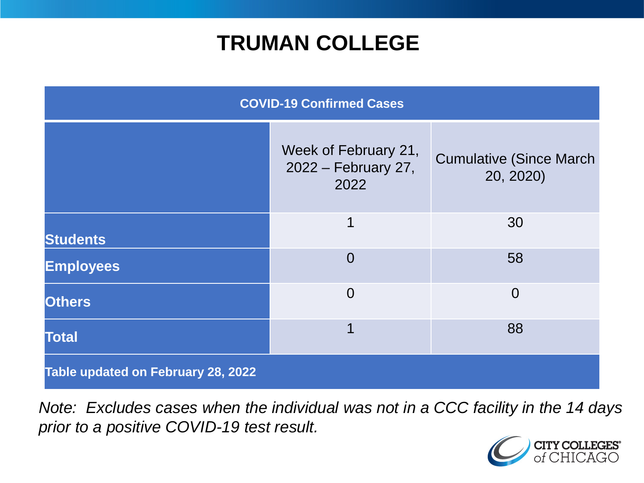## **TRUMAN COLLEGE**

| <b>COVID-19 Confirmed Cases</b>    |                                                     |                                              |
|------------------------------------|-----------------------------------------------------|----------------------------------------------|
|                                    | Week of February 21,<br>2022 – February 27,<br>2022 | <b>Cumulative (Since March)</b><br>20, 2020) |
| <b>Students</b>                    | 1                                                   | 30                                           |
| <b>Employees</b>                   | $\overline{0}$                                      | 58                                           |
| <b>Others</b>                      | $\overline{0}$                                      | $\Omega$                                     |
| <b>Total</b>                       | 1                                                   | 88                                           |
| Table updated on February 28, 2022 |                                                     |                                              |

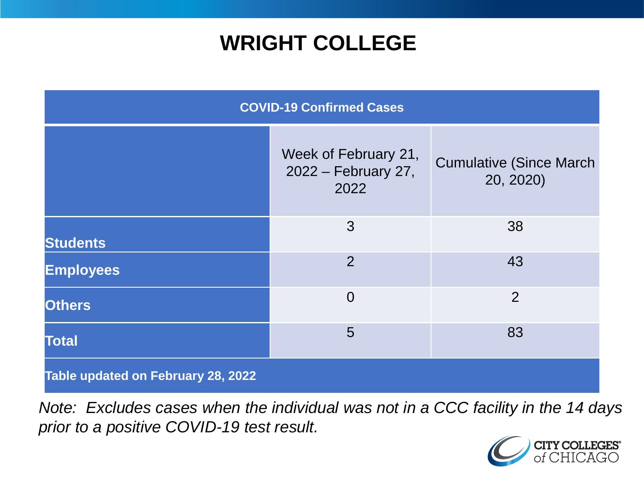## **WRIGHT COLLEGE**

| <b>COVID-19 Confirmed Cases</b>    |                                                     |                                              |
|------------------------------------|-----------------------------------------------------|----------------------------------------------|
|                                    | Week of February 21,<br>2022 – February 27,<br>2022 | <b>Cumulative (Since March)</b><br>20, 2020) |
| <b>Students</b>                    | 3                                                   | 38                                           |
| <b>Employees</b>                   | $\overline{2}$                                      | 43                                           |
| <b>Others</b>                      | $\overline{0}$                                      | $\overline{2}$                               |
| <b>Total</b>                       | 5                                                   | 83                                           |
| Table updated on February 28, 2022 |                                                     |                                              |

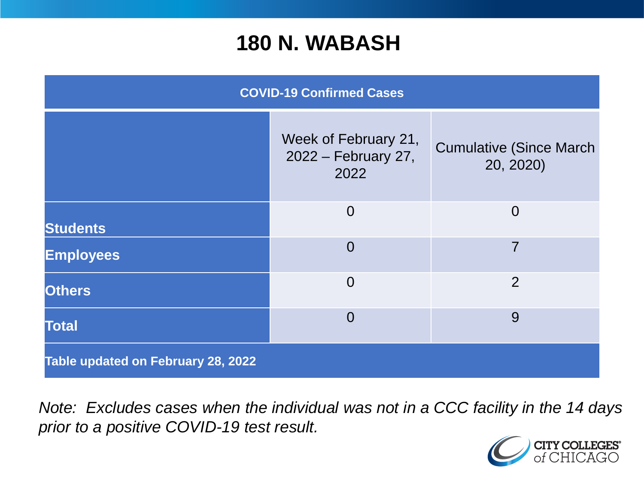#### **180 N. WABASH**

| <b>COVID-19 Confirmed Cases</b>    |                                                     |                                              |
|------------------------------------|-----------------------------------------------------|----------------------------------------------|
|                                    | Week of February 21,<br>2022 – February 27,<br>2022 | <b>Cumulative (Since March)</b><br>20, 2020) |
| <b>Students</b>                    | $\overline{0}$                                      | $\overline{0}$                               |
| <b>Employees</b>                   | $\overline{0}$                                      | 7                                            |
| <b>Others</b>                      | $\overline{0}$                                      | 2                                            |
| <b>Total</b>                       | $\overline{0}$                                      | 9                                            |
| Table updated on February 28, 2022 |                                                     |                                              |